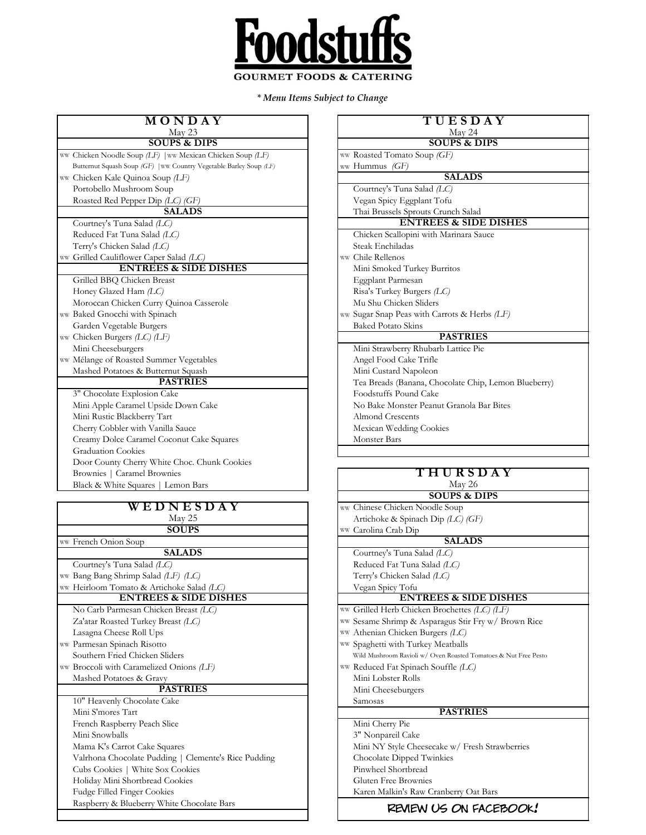

*\* Menu Items Subject to Change*

| MONDAY                                                             | TUESDAY                                      |
|--------------------------------------------------------------------|----------------------------------------------|
| May 23<br><b>SOUPS &amp; DIPS</b>                                  | May 24<br><b>SOUPS &amp; DIPS</b>            |
| ww Chicken Noodle Soup (LF)   ww Mexican Chicken Soup (LF)         | ww Roasted Tomato Soup (GF)                  |
| Butternut Squash Soup (GF)   ww Country Vegetable Barley Soup (LF) | ww Hummus (GF)                               |
| ww Chicken Kale Quinoa Soup (LF)                                   | <b>SALADS</b>                                |
| Portobello Mushroom Soup                                           | Courtney's Tuna Salad (LC)                   |
| Roasted Red Pepper Dip (LC) (GF)                                   | Vegan Spicy Eggplant Tofu                    |
| <b>SALADS</b>                                                      | Thai Brussels Sprouts Crunch Salad           |
| Courtney's Tuna Salad (LC)                                         | <b>ENTREES &amp; SIDE DISH</b>               |
| Reduced Fat Tuna Salad (LC)                                        | Chicken Scallopini with Marinara Sauce       |
| Terry's Chicken Salad (LC)                                         | Steak Enchiladas                             |
| ww Grilled Cauliflower Caper Salad (LC)                            | ww Chile Rellenos                            |
| <b>ENTREES &amp; SIDE DISHES</b>                                   | Mini Smoked Turkey Burritos                  |
| Grilled BBQ Chicken Breast                                         | Eggplant Parmesan                            |
| Honey Glazed Ham (LC)                                              | Risa's Turkey Burgers (LC)                   |
| Moroccan Chicken Curry Quinoa Casserole                            | Mu Shu Chicken Sliders                       |
| ww Baked Gnocchi with Spinach                                      | ww Sugar Snap Peas with Carrots & Herbs (LF) |
| Garden Vegetable Burgers                                           | <b>Baked Potato Skins</b>                    |
| ww Chicken Burgers (LC) (LF)                                       | <b>PASTRIES</b>                              |
| Mini Cheeseburgers                                                 | Mini Strawberry Rhubarb Lattice Pie          |
| ww Mélange of Roasted Summer Vegetables                            | Angel Food Cake Trifle                       |
| Mashed Potatoes & Butternut Squash                                 | Mini Custard Napoleon                        |
| <b>PASTRIES</b>                                                    | Tea Breads (Banana, Chocolate Chip, Lemo     |
| 3" Chocolate Explosion Cake                                        | Foodstuffs Pound Cake                        |
| Mini Apple Caramel Upside Down Cake                                | No Bake Monster Peanut Granola Bar Bites     |
| Mini Rustic Blackberry Tart                                        | <b>Almond Crescents</b>                      |
| Cherry Cobbler with Vanilla Sauce                                  | Mexican Wedding Cookies                      |
| Creamy Dolce Caramel Coconut Cake Squares                          | Monster Bars                                 |
| <b>Graduation Cookies</b>                                          |                                              |
| Door County Cherry White Choc. Chunk Cookies                       |                                              |
| Brownies   Caramel Brownies                                        | THURSDAY                                     |
| Black & White Squares   Lemon Bars                                 | May 26                                       |
|                                                                    | <b>SOUPS &amp; DIPS</b>                      |
| WEDNESDAY                                                          | ww Chinese Chicken Noodle Soup               |
| May 25                                                             | Artichoke & Spinach Dip (LC) (GF)            |
| <b>SOUPS</b>                                                       | ww Carolina Crab Dip                         |

| <b>SOUPS</b>                                         | ww Carolina Crab Dip                                            |
|------------------------------------------------------|-----------------------------------------------------------------|
| ww French Onion Soup                                 | <b>SALADS</b>                                                   |
| <b>SALADS</b>                                        | Courtney's Tuna Salad (LC)                                      |
| Courtney's Tuna Salad (LC)                           | Reduced Fat Tuna Salad (LC)                                     |
| ww Bang Bang Shrimp Salad (LF) (LC)                  | Terry's Chicken Salad (LC)                                      |
| ww Heirloom Tomato & Artichoke Salad (LC)            | Vegan Spicy Tofu                                                |
| <b>ENTREES &amp; SIDE DISHES</b>                     | <b>ENTREES &amp; SIDE DISHES</b>                                |
| No Carb Parmesan Chicken Breast (LC)                 | ww Grilled Herb Chicken Brochettes (LC) (LF)                    |
| Za'atar Roasted Turkey Breast $(LC)$                 | ww Sesame Shrimp & Asparagus Stir Fry w/ Brown Rice             |
| Lasagna Cheese Roll Ups                              | ww Athenian Chicken Burgers (LC)                                |
| ww Parmesan Spinach Risotto                          | ww Spaghetti with Turkey Meatballs                              |
| Southern Fried Chicken Sliders                       | Wild Mushroom Ravioli w/ Oven Roasted Tomatoes & Nut Free Pesto |
| ww Broccoli with Caramelized Onions (LF)             | ww Reduced Fat Spinach Souffle (LC)                             |
| Mashed Potatoes & Gravy                              | Mini Lobster Rolls                                              |
| <b>PASTRIES</b>                                      | Mini Cheeseburgers                                              |
| 10" Heavenly Chocolate Cake                          | Samosas                                                         |
| Mini S'mores Tart                                    | <b>PASTRIES</b>                                                 |
| French Raspberry Peach Slice                         | Mini Cherry Pie                                                 |
| Mini Snowballs                                       | 3" Nonpareil Cake                                               |
| Mama K's Carrot Cake Squares                         | Mini NY Style Cheesecake w/ Fresh Strawberries                  |
| Valrhona Chocolate Pudding   Clemente's Rice Pudding | Chocolate Dipped Twinkies                                       |
| Cubs Cookies   White Sox Cookies                     | Pinwheel Shortbread                                             |
| Holiday Mini Shortbread Cookies                      | Gluten Free Brownies                                            |
| Fudge Filled Finger Cookies                          | Karen Malkin's Raw Cranberry Oat Bars                           |
| Raspberry & Blueberry White Chocolate Bars           |                                                                 |

| MONDAY<br>May 23                            | TUESDAY<br>May 24                                    |
|---------------------------------------------|------------------------------------------------------|
| <b>SOUPS &amp; DIPS</b>                     | <b>SOUPS &amp; DIPS</b>                              |
| $(LF)$   ww Mexican Chicken Soup $(LF)$     | ww Roasted Tomato Soup (GF)                          |
| GF)   ww Country Vegetable Barley Soup (LF) | ww Hummus (GF)                                       |
| va Soup (LF)                                | <b>SALADS</b>                                        |
| m Soup                                      | Courtney's Tuna Salad (LC)                           |
| $\cdot$ Dip $(LC)$ (GF)                     | Vegan Spicy Eggplant Tofu                            |
| <b>SALADS</b>                               | Thai Brussels Sprouts Crunch Salad                   |
| ad <i>(LC)</i>                              | <b>ENTREES &amp; SIDE DISHES</b>                     |
| alad $(LC)$                                 | Chicken Scallopini with Marinara Sauce               |
| d (LC)                                      | Steak Enchiladas                                     |
| Caper Salad <i>(LC)</i>                     | ww Chile Rellenos                                    |
| <b>REES &amp; SIDE DISHES</b>               | Mini Smoked Turkey Burritos                          |
| n Breast                                    | Eggplant Parmesan                                    |
| (LC)                                        | Risa's Turkey Burgers (LC)                           |
| Curry Quinoa Casserole                      | Mu Shu Chicken Sliders                               |
| ı Spinach                                   | ww Sugar Snap Peas with Carrots & Herbs (LF)         |
| urgers                                      | <b>Baked Potato Skins</b>                            |
| C) (LF)                                     | <b>PASTRIES</b>                                      |
|                                             | Mini Strawberry Rhubarb Lattice Pie                  |
| Summer Vegetables                           | Angel Food Cake Trifle                               |
| Butternut Squash                            | Mini Custard Napoleon                                |
| <b>PASTRIES</b>                             | Tea Breads (Banana, Chocolate Chip, Lemon Blueberry) |
| sion Cake                                   | Foodstuffs Pound Cake                                |
| Upside Down Cake                            | No Bake Monster Peanut Granola Bar Bites             |
| rry Tart                                    | <b>Almond Crescents</b>                              |
| I Vanilla Sauce                             | Mexican Wedding Cookies                              |
| nel Coconut Cake Squares                    | <b>Monster Bars</b>                                  |
|                                             |                                                      |

| THURSDAY        |                                                                 |  |  |  |
|-----------------|-----------------------------------------------------------------|--|--|--|
| May 26          |                                                                 |  |  |  |
|                 | <b>SOUPS &amp; DIPS</b>                                         |  |  |  |
|                 | ww Chinese Chicken Noodle Soup                                  |  |  |  |
|                 | Artichoke & Spinach Dip $(LC)$ (GF)                             |  |  |  |
|                 | ww Carolina Crab Dip                                            |  |  |  |
|                 | <b>SALADS</b>                                                   |  |  |  |
|                 | Courtney's Tuna Salad (LC)                                      |  |  |  |
|                 | Reduced Fat Tuna Salad (LC)                                     |  |  |  |
|                 | Terry's Chicken Salad (LC)                                      |  |  |  |
|                 | Vegan Spicy Tofu                                                |  |  |  |
|                 | <b>ENTREES &amp; SIDE DISHES</b>                                |  |  |  |
|                 | ww Grilled Herb Chicken Brochettes (LC) (LF)                    |  |  |  |
|                 | ww Sesame Shrimp & Asparagus Stir Fry w/ Brown Rice             |  |  |  |
|                 | ww Athenian Chicken Burgers (LC)                                |  |  |  |
|                 | ww Spaghetti with Turkey Meatballs                              |  |  |  |
|                 | Wild Mushroom Ravioli w/ Oven Roasted Tomatoes & Nut Free Pesto |  |  |  |
|                 | ww Reduced Fat Spinach Souffle (LC)                             |  |  |  |
|                 | Mini Lobster Rolls                                              |  |  |  |
|                 | Mini Cheeseburgers                                              |  |  |  |
|                 | Samosas                                                         |  |  |  |
| <b>PASTRIES</b> |                                                                 |  |  |  |
|                 | Mini Cherry Pie                                                 |  |  |  |
|                 | 3" Nonpareil Cake                                               |  |  |  |
|                 | Mini NY Style Cheesecake w/ Fresh Strawberries                  |  |  |  |
|                 | Chocolate Dipped Twinkies                                       |  |  |  |
|                 | Pinwheel Shortbread                                             |  |  |  |
|                 | Gluten Free Brownies                                            |  |  |  |
|                 | Karen Malkin's Raw Cranberry Oat Bars                           |  |  |  |

## review us on facebook!